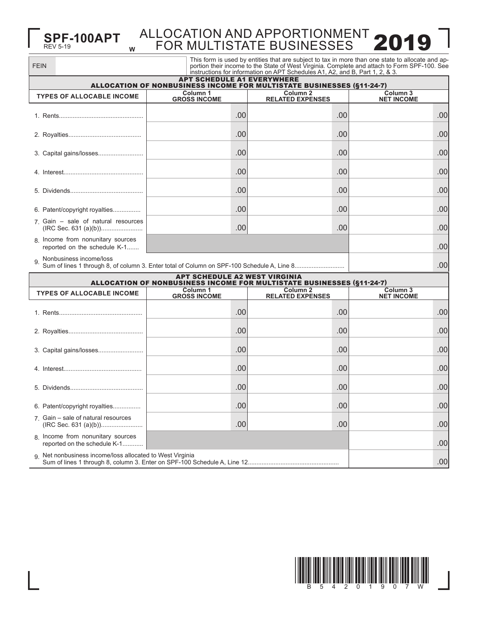## **W SPF-100APT** ALLOCATION AND APPORTIONMENT 2019

| <b>FEIN</b>                                                       |                                      | instructions for information on APT Schedules A1, A2, and B, Part 1, 2, & 3. | This form is used by entities that are subject to tax in more than one state to allocate and ap-<br>portion their income to the State of West Virginia. Complete and attach to Form SPF-100. See |
|-------------------------------------------------------------------|--------------------------------------|------------------------------------------------------------------------------|--------------------------------------------------------------------------------------------------------------------------------------------------------------------------------------------------|
|                                                                   | <b>APT SCHEDULE A1 EVERYWHERE</b>    | ALLOCATION OF NONBUSINESS INCOME FOR MULTISTATE BUSINESSES (§11-24-7)        |                                                                                                                                                                                                  |
| <b>TYPES OF ALLOCABLE INCOME</b>                                  | Column 1<br><b>GROSS INCOME</b>      | Column <sub>2</sub><br><b>RELATED EXPENSES</b>                               | Column <sub>3</sub><br><b>NET INCOME</b>                                                                                                                                                         |
|                                                                   | .00                                  | .00                                                                          | .00                                                                                                                                                                                              |
|                                                                   | .00                                  | .00                                                                          | .00                                                                                                                                                                                              |
|                                                                   | .00                                  | .00                                                                          | .00                                                                                                                                                                                              |
|                                                                   | .00                                  | .00                                                                          | .00                                                                                                                                                                                              |
|                                                                   | .00                                  | .00                                                                          | .00                                                                                                                                                                                              |
| 6. Patent/copyright royalties                                     | .00                                  | .00                                                                          | .00                                                                                                                                                                                              |
| 7 Gain - sale of natural resources<br>(IRC Sec. 631 (a)(b))       | .00                                  | .00                                                                          | .00                                                                                                                                                                                              |
| 8. Income from nonunitary sources<br>reported on the schedule K-1 |                                      |                                                                              | .00                                                                                                                                                                                              |
| Nonbusiness income/loss<br>9.                                     |                                      |                                                                              | .00                                                                                                                                                                                              |
|                                                                   | <b>APT SCHEDULE A2 WEST VIRGINIA</b> | ALLOCATION OF NONBUSINESS INCOME FOR MULTISTATE BUSINESSES (§11-24-7)        |                                                                                                                                                                                                  |
| <b>TYPES OF ALLOCABLE INCOME</b>                                  | Column 1<br><b>GROSS INCOME</b>      | Column <sub>2</sub><br><b>RELATED EXPENSES</b>                               | <b>Column 3</b><br><b>NET INCOME</b>                                                                                                                                                             |
|                                                                   | .00                                  | .00                                                                          | .00                                                                                                                                                                                              |
|                                                                   | .00                                  | .00                                                                          | .00                                                                                                                                                                                              |
| 3. Capital gains/losses                                           | .00                                  | .00                                                                          | .00                                                                                                                                                                                              |
|                                                                   | .00                                  | .00                                                                          | .00                                                                                                                                                                                              |
|                                                                   | .00                                  | .00                                                                          | .00                                                                                                                                                                                              |
| 6. Patent/copyright royalties                                     | .00                                  | .00                                                                          | .00                                                                                                                                                                                              |
| 7. Gain - sale of natural resources                               | .00                                  | .00                                                                          | .00                                                                                                                                                                                              |
| 8. Income from nonunitary sources<br>reported on the schedule K-1 |                                      |                                                                              | .00                                                                                                                                                                                              |
| Net nonbusiness income/loss allocated to West Virginia<br>9       |                                      |                                                                              | .00                                                                                                                                                                                              |